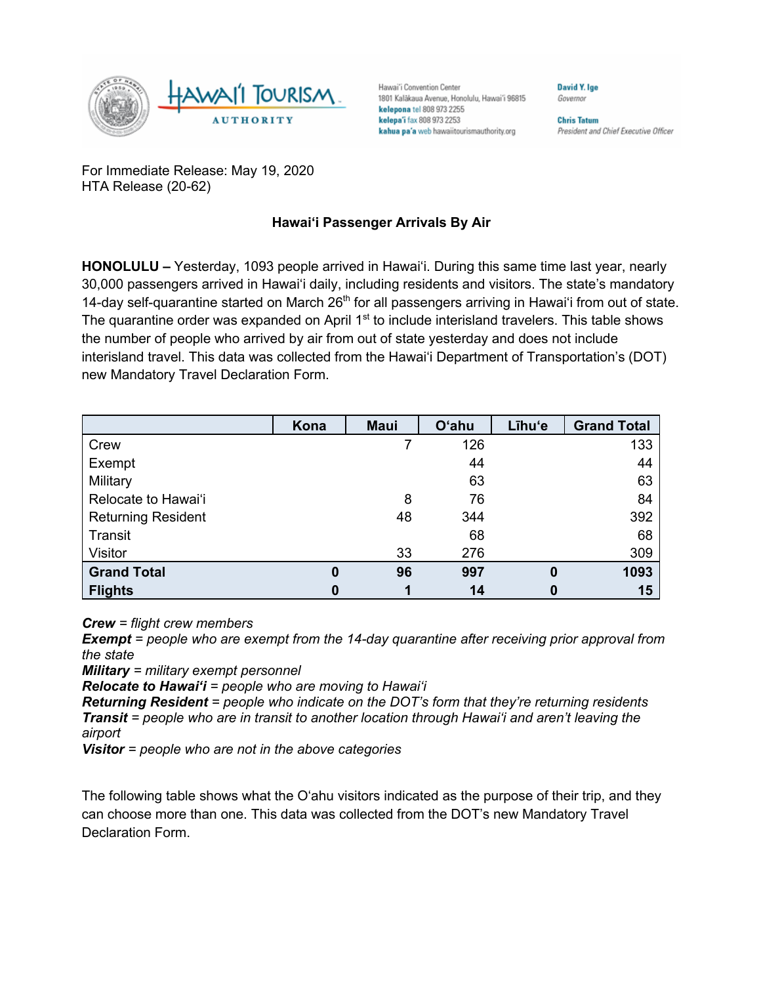

Hawai'i Convention Center 1801 Kalākaua Avenue, Honolulu, Hawai'i 96815 kelepona tel 808 973 2255 kelepa'i fax 808 973 2253 kahua pa'a web hawaiitourismauthority.org

**Chris Tatum** President and Chief Executive Officer

David Y. Ige

Governor

For Immediate Release: May 19, 2020 HTA Release (20-62)

## **Hawai'i Passenger Arrivals By Air**

**HONOLULU –** Yesterday, 1093 people arrived in Hawai'i. During this same time last year, nearly 30,000 passengers arrived in Hawai'i daily, including residents and visitors. The state's mandatory 14-day self-quarantine started on March 26<sup>th</sup> for all passengers arriving in Hawai'i from out of state. The quarantine order was expanded on April 1<sup>st</sup> to include interisland travelers. This table shows the number of people who arrived by air from out of state yesterday and does not include interisland travel. This data was collected from the Hawai'i Department of Transportation's (DOT) new Mandatory Travel Declaration Form.

|                           | Kona     | <b>Maui</b> | <b>O'ahu</b> | Līhu'e | <b>Grand Total</b> |
|---------------------------|----------|-------------|--------------|--------|--------------------|
| Crew                      |          |             | 126          |        | 133                |
| Exempt                    |          |             | 44           |        | 44                 |
| Military                  |          |             | 63           |        | 63                 |
| Relocate to Hawai'i       |          | 8           | 76           |        | 84                 |
| <b>Returning Resident</b> |          | 48          | 344          |        | 392                |
| Transit                   |          |             | 68           |        | 68                 |
| Visitor                   |          | 33          | 276          |        | 309                |
| <b>Grand Total</b>        | $\bf{0}$ | 96          | 997          | 0      | 1093               |
| <b>Flights</b>            | $\bf{0}$ |             | 14           |        | 15                 |

*Crew = flight crew members*

*Exempt = people who are exempt from the 14-day quarantine after receiving prior approval from the state*

*Military = military exempt personnel*

*Relocate to Hawai'i = people who are moving to Hawai'i*

*Returning Resident = people who indicate on the DOT's form that they're returning residents Transit = people who are in transit to another location through Hawai'i and aren't leaving the airport*

*Visitor = people who are not in the above categories*

The following table shows what the O'ahu visitors indicated as the purpose of their trip, and they can choose more than one. This data was collected from the DOT's new Mandatory Travel Declaration Form.